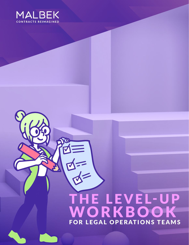

# THE LEVEL-UP W O R K B O O K FOR LEGAL OPERATIONS TEAMS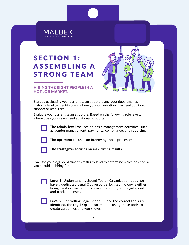

## **SECTION 1:** ASSEMBLING A STRONG TEAM



#### HIRING THE RIGHT PEOPLE IN A HOT JOB MARKET.

Start by evaluating your current team structure and your department's maturity level to identify areas where your organization may need additional support or resources.

Evaluate your current team structure. Based on the following role levels, where does your team need additional support?



The admin-level focuses on basic management activities, such as vendor management, payments, compliance, and reporting.



The optimizer focuses on improving those processes.



The strategizer focuses on maximizing results.

Evaluate your legal department's maturity level to determine which position(s) you should be hiring for.

| <b>Level 1:</b> Understanding Spend Tools - Organization does not |  |
|-------------------------------------------------------------------|--|
| have a dedicated Legal Ops resource, but technology is either     |  |
| being used or evaluated to provide visibility into legal spend    |  |
| and track expenses.                                               |  |



Level 2: Controlling Legal Spend - Once the correct tools are identified, the Legal Ops department is using these tools to create guidelines and workflows.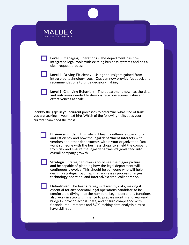| MALBEK<br><b>CONTRACTS REIMAGINED</b> |                                                                                                                                                            |                                                                      |
|---------------------------------------|------------------------------------------------------------------------------------------------------------------------------------------------------------|----------------------------------------------------------------------|
| clear request process.                | <b>Level 3:</b> Managing Operations - The department has now<br>integrated legal tools with existing business systems and has a                            |                                                                      |
|                                       | <b>Level 4:</b> Driving Efficiency - Using the insights gained from<br>recommendations to drive decision-making.                                           | integrated technology, Legal Ops can now provide feedback and        |
| effectiveness at scale.               | and outcomes needed to demonstrate operational value and                                                                                                   | <b>Level 5:</b> Changing Behaviors - The department now has the data |
| current team need the most?           | Identify the gaps in your current processes to determine what kind of traits<br>you are seeking in your next hire. Which of the following traits does your |                                                                      |
|                                       | <b>Business-minded.</b> This role will heavily influence operations<br>and efficiency and how the legal denartment interacts with                          |                                                                      |

and efficiency and how the legal department interacts with vendors and other departments within your organization. You want someone with the business chops to shield the company from risk and ensure the legal department's goals feed into overall company growth.

**Strategic.** Strategic thinkers should see the bigger picture and be capable of planning how the legal department will continuously evolve. This should be someone who will help design a strategic roadmap that addresses process changes, technology adoption, and internal/external collaboration.

**Data-driven.** The best strategy is driven by data, making it essential for any potential legal operations candidate to be comfortable diving into the numbers. Legal operations functions also work in step with finance to prepare month- and year-end budgets, provide accrual data, and ensure compliance with financial requirements and SOX, making data analysis a musthave skill-set.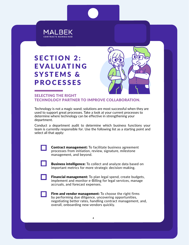

### **SECTION 2: EVALUATING** SYSTEMS & PROCESSES



#### SELECTING THE RIGHT TECHNOLOGY PARTNER TO IMPROVE COLLABORATION.

Technology is not a magic wand; solutions are most successful when they are used to support great processes. Take a look at your current processes to determine where technology can be effective in strengthening your department.

Conduct a department audit to determine which business functions your team is currently responsible for. Use the following list as a starting point and select all that apply:

> Contract management: To facilitate business agreement processes from initiation, review, signature, milestone management, and beyond.





Financial management: To plan legal spend, create budgets, implement and monitor e-Billing for legal services, manage accruals, and forecast expenses.



Firm and vendor management: To choose the right firms by performing due diligence, uncovering opportunities, negotiating better rates, handling contract management, and, overall, onboarding new vendors quickly.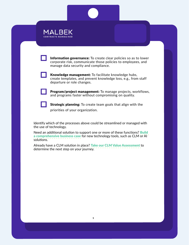| MALBEK                      |
|-----------------------------|
| <b>CONTRACTS REIMAGINED</b> |



Information governance: To create clear policies so as to lower corporate risk, communicate those policies to employees, and manage data security and compliance.



Knowledge management: To facilitate knowledge hubs, create templates, and prevent knowledge loss, e.g., from staff departure or role changes.



Program/project management: To manage projects, workflows, and programs faster without compromising on quality.



**Strategic planning:** To create team goals that align with the priorities of your organization.

Identify which of the processes above could be streamlined or managed with the use of technology.

Need an additional solution to support one or more of these functions? Build [a comprehensive business case](https://www.malbek.io/building-the-business-case-for-clm) for new technology tools, such as CLM or Al solutions.

Already have a CLM solution in place? Take our CLM Value Assessment to determine the next step on your journey.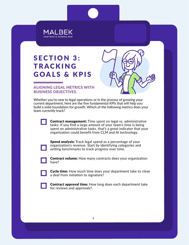

### **SECTION 3: TRACKING** GOALS & KPIS



#### ALIGNING LEGAL METRICS WITH BUSINESS OBJECTIVES.

Whether you're new to legal operations or in the process of growing your current department, here are the five fundamental KPIs that will help you build a solid foundation for growth. Which of the following metrics does your team currently track?

> Contract management: Time spent on legal vs. administrative tasks: If you find a large amount of your team's time is being spent on administrative tasks, that's a great indicator that your organization could benefit from CLM and AI technology.

Spend analysis: Track legal spend as a percentage of your organization's revenue. Start by identifying categories and setting benchmarks to track progress over time.



**Contract volume:** How many contracts does your organization have?



Cycle time: How much time does your department take to close a deal from initiation to signature?



Contract approval time: How long does each department take for reviews and approvals?.